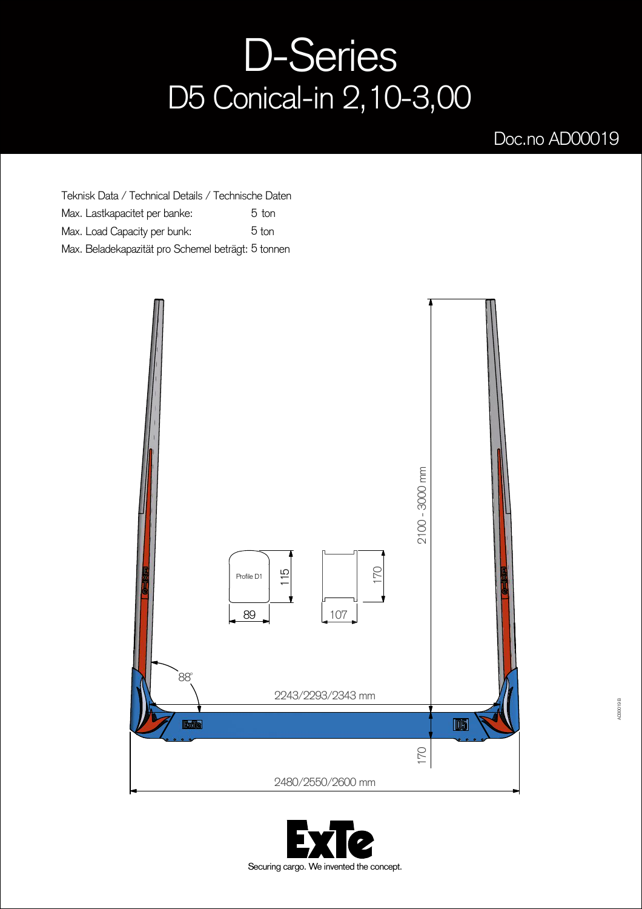## D-Series D5 Conical-in 2,10-3,00

## Doc.no AD00019

Teknisk Data / Technical Details / Technische Daten Max. Lastkapacitet per banke: Max. Load Capacity per bunk: Max. Beladekapazität pro Schemel beträgt: 5 tonnen 5 ton 5 ton